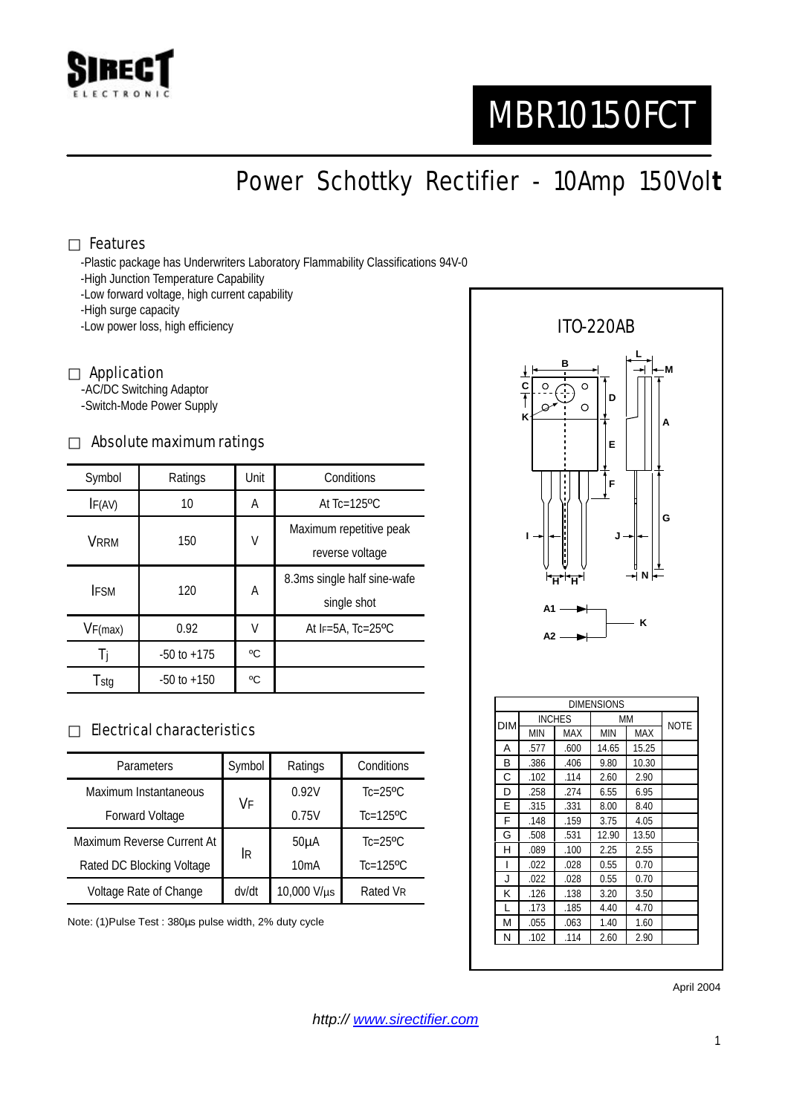

# MBR10150FCT

Power Schottky Rectifier - 10Amp 150Vol**t**

#### Features

-Plastic package has Underwriters Laboratory Flammability Classifications 94V-0

- -High Junction Temperature Capability
- -Low forward voltage, high current capability

-High surge capacity

-Low power loss, high efficiency

#### Application

-AC/DC Switching Adaptor -Switch-Mode Power Supply

#### Absolute maximum ratings

| Symbol      | Ratings         | Unit | Conditions                                 |  |
|-------------|-----------------|------|--------------------------------------------|--|
| IF(AV)      | 10              | Α    | At $Tc=125$ <sup>o</sup> $C$               |  |
| <b>VRRM</b> | 150             | V    | Maximum repetitive peak<br>reverse voltage |  |
| <b>IFSM</b> | 120             | A    | 8.3ms single half sine-wafe<br>single shot |  |
| VF(max)     | 0.92            | V    | At $F=5A$ , Tc=25°C                        |  |
| -li         | $-50$ to $+175$ | °C   |                                            |  |
| Tstg        | $-50$ to $+150$ | °C   |                                            |  |

#### Electrical characteristics

| <b>Parameters</b>          | Symbol | Ratings     | Conditions              |
|----------------------------|--------|-------------|-------------------------|
| Maximum Instantaneous      | VF     | 0.92V       | $Tc=25$ °C              |
| Forward Voltage            |        | 0.75V       | $Tc=125$ <sup>o</sup> C |
| Maximum Reverse Current At | IR.    | $50\muA$    | $Tc=25$ °C              |
| Rated DC Blocking Voltage  |        | 10mA        | $Tc=125$ <sup>o</sup> C |
| Voltage Rate of Change     | dv/dt  | 10,000 V/µs | Rated VR                |

Note: (1)Pulse Test : 380µs pulse width, 2% duty cycle



G .508 .531 12.90 13.50 H .089 .100 2.25 2.55 I .022 .028 0.55 0.70 J .022 .028 0.55 0.70 K .126 .138 3.20 3.50 L .173 .185 4.40 4.70 M .055 .063 1.40 1.60 N .102 .114 2.60 2.90

April 2004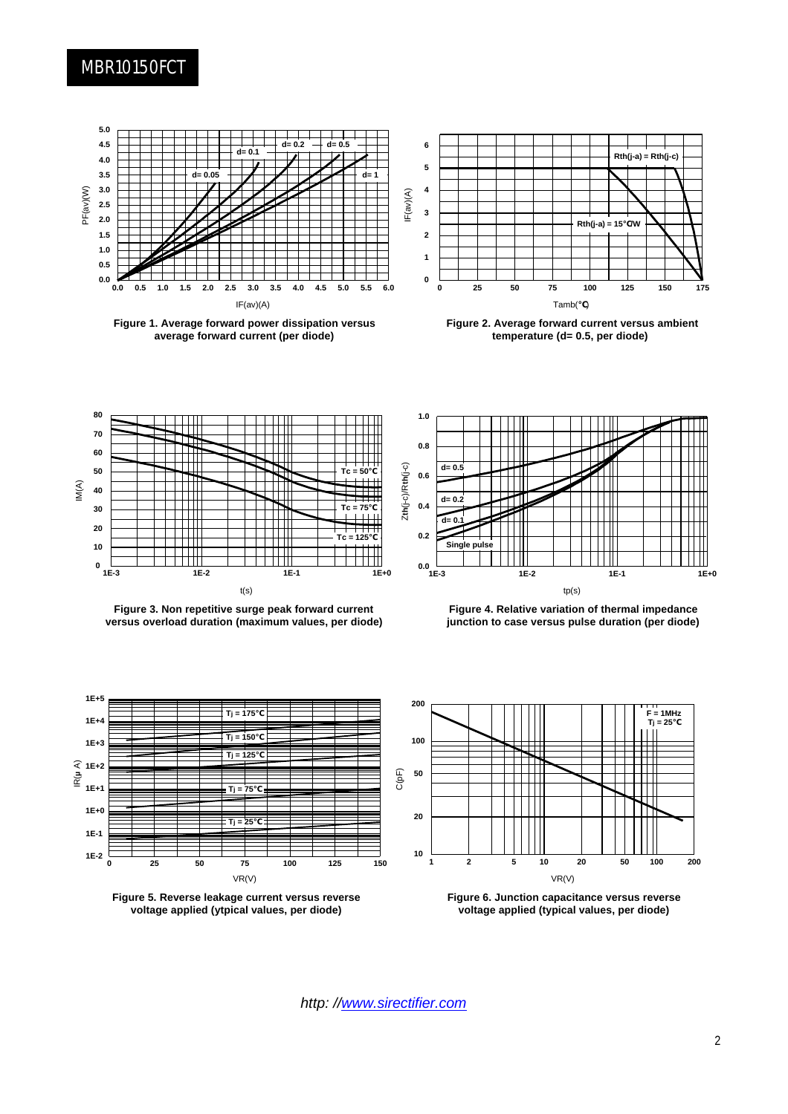### MBR10150FCT



**Figure 1. Average forward power dissipation versus average forward current (per diode)**



**Figure 2. Average forward current versus ambient temperature (d= 0.5, per diode)**



**Figure 3. Non repetitive surge peak forward current versus overload duration (maximum values, per diode)**



**Figure 4. Relative variation of thermal impedance junction to case versus pulse duration (per diode)**







**Figure 6. Junction capacitance versus reverse voltage applied (typical values, per diode)**

*http: //www.sirectifier.com*